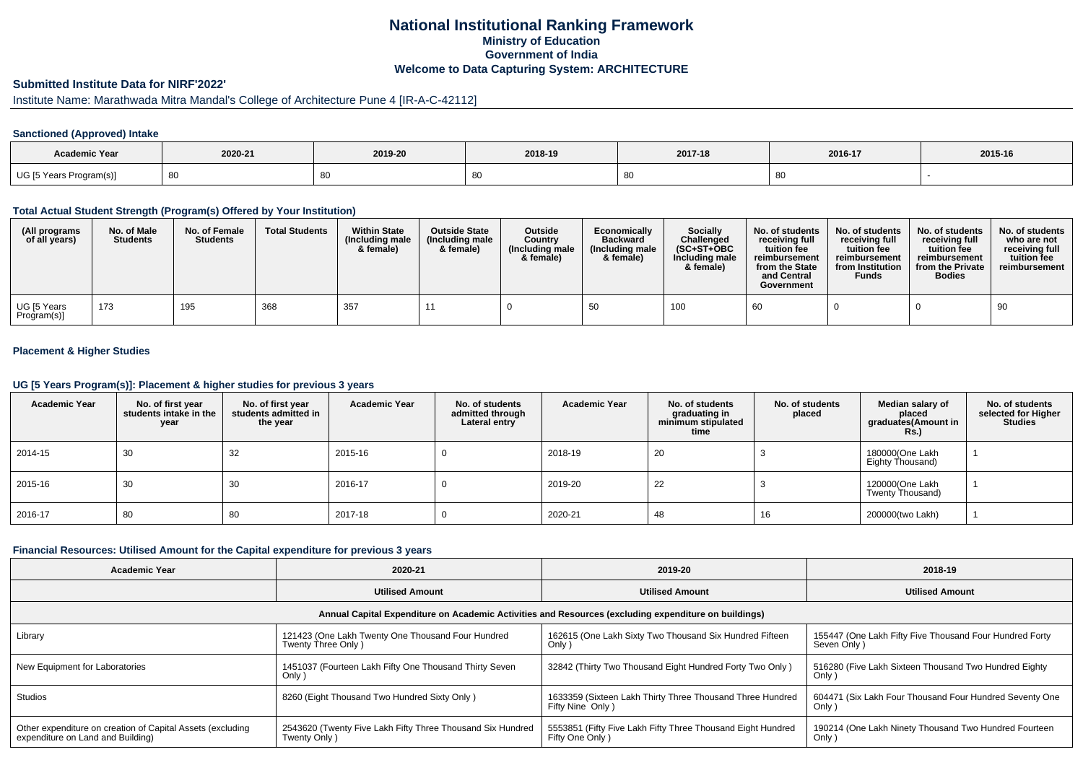# **National Institutional Ranking FrameworkMinistry of Education Government of IndiaWelcome to Data Capturing System: ARCHITECTURE**

#### **Submitted Institute Data for NIRF'2022'**

# Institute Name: Marathwada Mitra Mandal's College of Architecture Pune 4 [IR-A-C-42112]

### **Sanctioned (Approved) Intake**

| Academic Year           |         |         |         |         |         |         |
|-------------------------|---------|---------|---------|---------|---------|---------|
|                         | 2020-21 | 2019-20 | 2018-19 | 2017-18 | 2016-17 | 2015-16 |
| UG [5 Years Program(s)] | -80     |         | - 80    |         | ◡◡      |         |

#### **Total Actual Student Strength (Program(s) Offered by Your Institution)**

| (All programs<br>of all years) | No. of Male<br><b>Students</b> | No. of Female<br><b>Students</b> | <b>Total Students</b> | <b>Within State</b><br>(Including male<br>& female) | <b>Outside State</b><br>(Including male<br>& female) | <b>Outside</b><br>Country<br>(Including male<br>& female) | Economically<br><b>Backward</b><br>(Including male)<br>& female) | Socially<br>Challenged<br>$(SC+ST+OBC$<br>Including male<br>& female) | No. of students<br>receiving full<br>tuition fee<br>reimbursement<br>from the State<br>and Central<br>Government | No. of students<br>receiving full<br>tuition fee<br>reimbursement<br>from Institution<br><b>Funds</b> | No. of students<br>receiving full<br>tuition fee<br>reimbursement<br>from the Private<br><b>Bodies</b> | No. of students<br>who are not<br>receiving full<br>tuition fee<br>reimbursement |
|--------------------------------|--------------------------------|----------------------------------|-----------------------|-----------------------------------------------------|------------------------------------------------------|-----------------------------------------------------------|------------------------------------------------------------------|-----------------------------------------------------------------------|------------------------------------------------------------------------------------------------------------------|-------------------------------------------------------------------------------------------------------|--------------------------------------------------------------------------------------------------------|----------------------------------------------------------------------------------|
| UG [5 Years<br>Program(s)]     | 173                            | 195                              | 368                   | 357                                                 |                                                      |                                                           | 50                                                               | 100                                                                   | -60                                                                                                              |                                                                                                       |                                                                                                        | 90                                                                               |

### **Placement & Higher Studies**

#### **UG [5 Years Program(s)]: Placement & higher studies for previous 3 years**

| <b>Academic Year</b> | No. of first year<br>students intake in the<br>year | No. of first vear<br>students admitted in<br>the year | <b>Academic Year</b> | No. of students<br>admitted through<br>Lateral entry | <b>Academic Year</b> | No. of students<br>graduating in<br>minimum stipulated<br>time | No. of students<br>placed | Median salary of<br>placed<br>graduates(Amount in<br>Rs.) | No. of students<br>selected for Higher<br><b>Studies</b> |
|----------------------|-----------------------------------------------------|-------------------------------------------------------|----------------------|------------------------------------------------------|----------------------|----------------------------------------------------------------|---------------------------|-----------------------------------------------------------|----------------------------------------------------------|
| 2014-15              | 30                                                  | 32                                                    | 2015-16              |                                                      | 2018-19              | 20                                                             |                           | 180000(One Lakh<br>Eighty Thousand)                       |                                                          |
| 2015-16              | 30                                                  | 30                                                    | 2016-17              |                                                      | 2019-20              | 22                                                             |                           | 120000(One Lakh<br>Twenty Thousand)                       |                                                          |
| 2016-17              | 80                                                  | 80                                                    | 2017-18              |                                                      | 2020-21              | 48                                                             | 16                        | 200000(two Lakh)                                          |                                                          |

#### **Financial Resources: Utilised Amount for the Capital expenditure for previous 3 years**

| <b>Academic Year</b>                                                                                 | 2020-21                                                                    | 2019-20                                                                         | 2018-19                                                                |  |  |  |  |  |  |
|------------------------------------------------------------------------------------------------------|----------------------------------------------------------------------------|---------------------------------------------------------------------------------|------------------------------------------------------------------------|--|--|--|--|--|--|
|                                                                                                      | <b>Utilised Amount</b>                                                     | <b>Utilised Amount</b>                                                          | <b>Utilised Amount</b>                                                 |  |  |  |  |  |  |
| Annual Capital Expenditure on Academic Activities and Resources (excluding expenditure on buildings) |                                                                            |                                                                                 |                                                                        |  |  |  |  |  |  |
| Library                                                                                              | 121423 (One Lakh Twenty One Thousand Four Hundred<br>Twenty Three Only)    | 162615 (One Lakh Sixty Two Thousand Six Hundred Fifteen<br>$Only$ )             | 155447 (One Lakh Fifty Five Thousand Four Hundred Forty<br>Seven Only) |  |  |  |  |  |  |
| New Equipment for Laboratories                                                                       | 1451037 (Fourteen Lakh Fifty One Thousand Thirty Seven<br>Only)            | 32842 (Thirty Two Thousand Eight Hundred Forty Two Only)                        | 516280 (Five Lakh Sixteen Thousand Two Hundred Eighty<br>Only)         |  |  |  |  |  |  |
| <b>Studios</b>                                                                                       | 8260 (Eight Thousand Two Hundred Sixty Only)                               | 1633359 (Sixteen Lakh Thirty Three Thousand Three Hundred<br>Fifty Nine Only )  | 604471 (Six Lakh Four Thousand Four Hundred Seventy One<br>Only)       |  |  |  |  |  |  |
| Other expenditure on creation of Capital Assets (excluding<br>expenditure on Land and Building)      | 2543620 (Twenty Five Lakh Fifty Three Thousand Six Hundred<br>Twenty Only) | 5553851 (Fifty Five Lakh Fifty Three Thousand Eight Hundred<br>Fifty One Only ) | 190214 (One Lakh Ninety Thousand Two Hundred Fourteen<br>Only)         |  |  |  |  |  |  |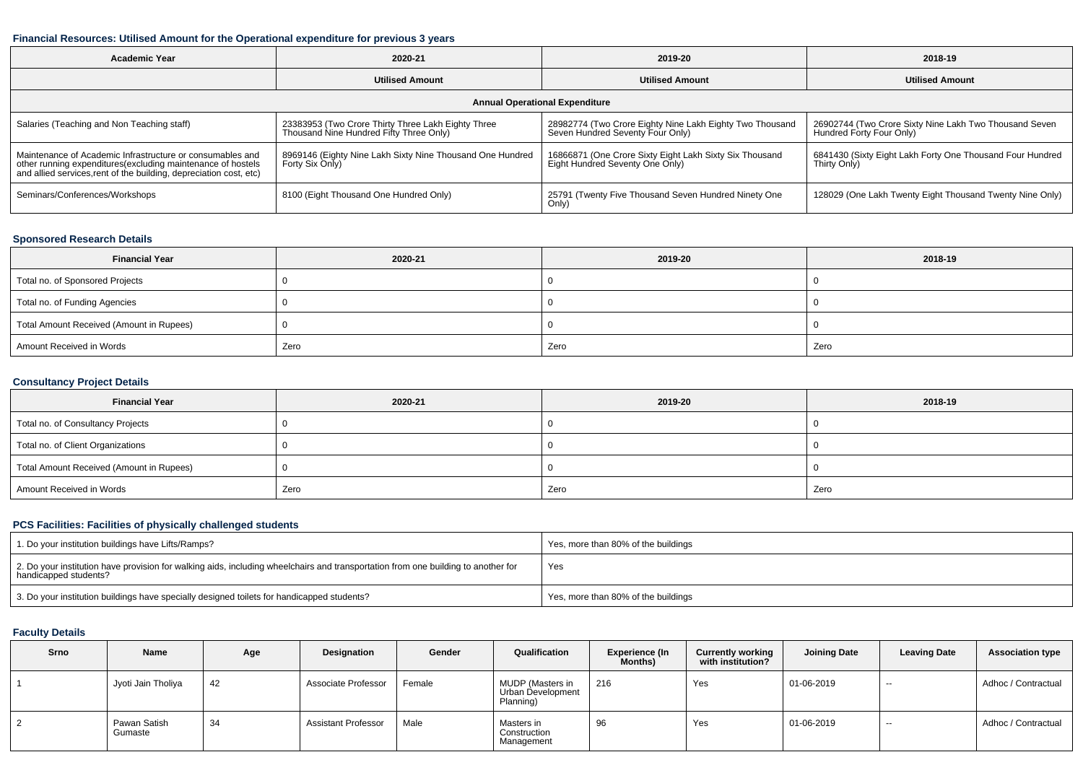#### **Financial Resources: Utilised Amount for the Operational expenditure for previous 3 years**

| <b>Academic Year</b>                                                                                                                                                                           | 2020-21                                                                                       | 2019-20                                                                                      | 2018-19                                                                            |  |  |  |  |  |  |  |
|------------------------------------------------------------------------------------------------------------------------------------------------------------------------------------------------|-----------------------------------------------------------------------------------------------|----------------------------------------------------------------------------------------------|------------------------------------------------------------------------------------|--|--|--|--|--|--|--|
|                                                                                                                                                                                                | <b>Utilised Amount</b>                                                                        | <b>Utilised Amount</b>                                                                       | <b>Utilised Amount</b>                                                             |  |  |  |  |  |  |  |
| <b>Annual Operational Expenditure</b>                                                                                                                                                          |                                                                                               |                                                                                              |                                                                                    |  |  |  |  |  |  |  |
| Salaries (Teaching and Non Teaching staff)                                                                                                                                                     | 23383953 (Two Crore Thirty Three Lakh Eighty Three<br>Thousand Nine Hundred Fifty Three Only) | 28982774 (Two Crore Eighty Nine Lakh Eighty Two Thousand<br>Seven Hundred Seventy Four Only) | 26902744 (Two Crore Sixty Nine Lakh Two Thousand Seven<br>Hundred Forty Four Only) |  |  |  |  |  |  |  |
| Maintenance of Academic Infrastructure or consumables and<br>other running expenditures(excluding maintenance of hostels<br>and allied services, rent of the building, depreciation cost, etc) | 8969146 (Eighty Nine Lakh Sixty Nine Thousand One Hundred<br>Forty Six Only)                  | 16866871 (One Crore Sixty Eight Lakh Sixty Six Thousand<br>Eight Hundred Seventy One Only)   | 6841430 (Sixty Eight Lakh Forty One Thousand Four Hundred<br>Thirty Only)          |  |  |  |  |  |  |  |
| Seminars/Conferences/Workshops                                                                                                                                                                 | 8100 (Eight Thousand One Hundred Only)                                                        | 25791 (Twenty Five Thousand Seven Hundred Ninety One<br>Only)                                | 128029 (One Lakh Twenty Eight Thousand Twenty Nine Only)                           |  |  |  |  |  |  |  |

## **Sponsored Research Details**

| <b>Financial Year</b>                    | 2020-21 | 2019-20 | 2018-19 |
|------------------------------------------|---------|---------|---------|
| Total no. of Sponsored Projects          |         |         |         |
| Total no. of Funding Agencies            |         |         |         |
| Total Amount Received (Amount in Rupees) |         |         |         |
| Amount Received in Words                 | Zero    | Zero    | Zero    |

## **Consultancy Project Details**

| <b>Financial Year</b>                    | 2020-21 | 2019-20 | 2018-19 |
|------------------------------------------|---------|---------|---------|
| Total no. of Consultancy Projects        |         |         |         |
| Total no. of Client Organizations        |         |         |         |
| Total Amount Received (Amount in Rupees) |         |         |         |
| Amount Received in Words                 | Zero    | Zero    | Zero    |

# **PCS Facilities: Facilities of physically challenged students**

| 1. Do your institution buildings have Lifts/Ramps?                                                                                                         | Yes, more than 80% of the buildings |
|------------------------------------------------------------------------------------------------------------------------------------------------------------|-------------------------------------|
| 2. Do your institution have provision for walking aids, including wheelchairs and transportation from one building to another for<br>handicapped students? | Yes                                 |
| 3. Do your institution buildings have specially designed toilets for handicapped students?                                                                 | Yes, more than 80% of the buildings |

### **Faculty Details**

| Srno | Name                    | Age | Designation                | Gender | Qualification                                      | <b>Experience (In</b><br><b>Months</b> ) | <b>Currently working</b><br>with institution? | <b>Joining Date</b> | <b>Leaving Date</b>      | <b>Association type</b> |
|------|-------------------------|-----|----------------------------|--------|----------------------------------------------------|------------------------------------------|-----------------------------------------------|---------------------|--------------------------|-------------------------|
|      | Jyoti Jain Tholiya      | 42  | Associate Professor        | Female | MUDP (Masters in<br>Urban Development<br>Planning) | 216                                      | Yes                                           | 01-06-2019          | $\overline{\phantom{a}}$ | Adhoc / Contractual     |
|      | Pawan Satish<br>Gumaste | 34  | <b>Assistant Professor</b> | Male   | Masters in<br>Construction<br>Management           | 96                                       | Yes                                           | 01-06-2019          | $\overline{\phantom{a}}$ | Adhoc / Contractual     |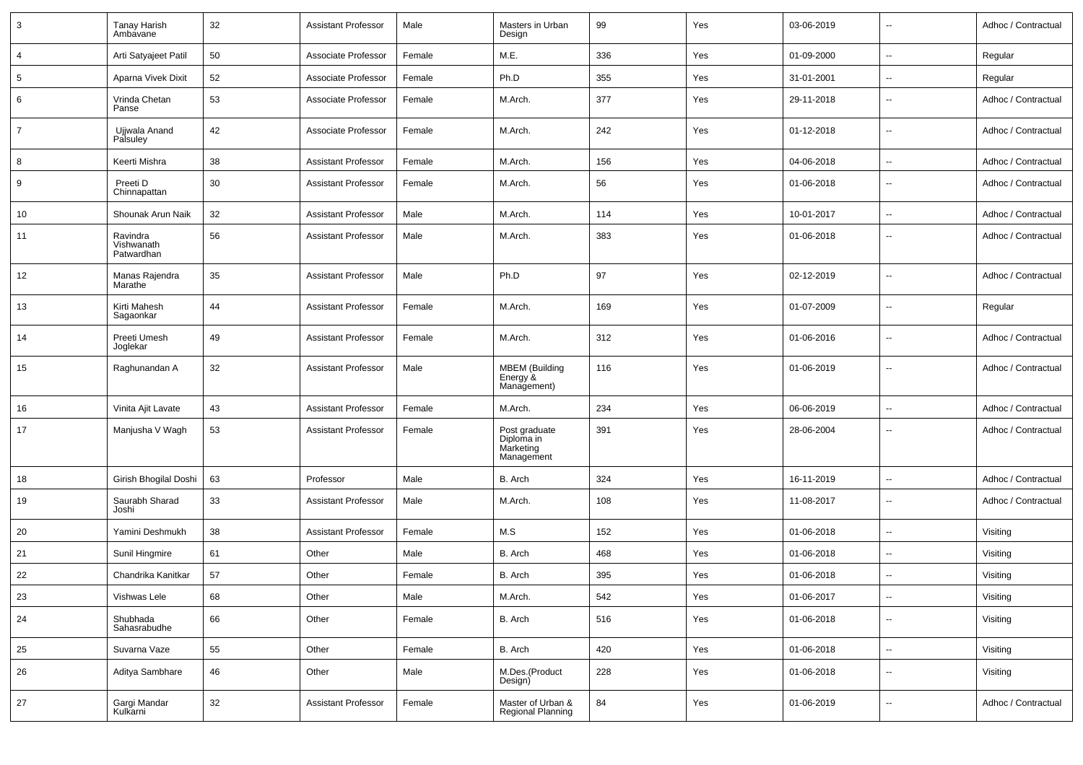| 3              | <b>Tanay Harish</b><br>Ambavane      | 32 | Assistant Professor        | Male   | Masters in Urban<br>Design                             | 99  | Yes | 03-06-2019 | $\sim$                   | Adhoc / Contractual |
|----------------|--------------------------------------|----|----------------------------|--------|--------------------------------------------------------|-----|-----|------------|--------------------------|---------------------|
| 4              | Arti Satyajeet Patil                 | 50 | Associate Professor        | Female | M.E.                                                   | 336 | Yes | 01-09-2000 | $\sim$                   | Regular             |
| 5              | Aparna Vivek Dixit                   | 52 | Associate Professor        | Female | Ph.D                                                   | 355 | Yes | 31-01-2001 | $\sim$                   | Regular             |
| 6              | Vrinda Chetan<br>Panse               | 53 | Associate Professor        | Female | M.Arch.                                                | 377 | Yes | 29-11-2018 | $\overline{\phantom{a}}$ | Adhoc / Contractual |
| $\overline{7}$ | Ujjwala Anand<br>Palsuley            | 42 | Associate Professor        | Female | M.Arch.                                                | 242 | Yes | 01-12-2018 | $\overline{\phantom{a}}$ | Adhoc / Contractual |
| 8              | Keerti Mishra                        | 38 | Assistant Professor        | Female | M.Arch.                                                | 156 | Yes | 04-06-2018 | $\overline{\phantom{a}}$ | Adhoc / Contractual |
| 9              | Preeti D<br>Chinnapattan             | 30 | <b>Assistant Professor</b> | Female | M.Arch.                                                | 56  | Yes | 01-06-2018 | $\overline{\phantom{a}}$ | Adhoc / Contractual |
| 10             | Shounak Arun Naik                    | 32 | <b>Assistant Professor</b> | Male   | M.Arch.                                                | 114 | Yes | 10-01-2017 | $\overline{\phantom{a}}$ | Adhoc / Contractual |
| 11             | Ravindra<br>Vishwanath<br>Patwardhan | 56 | <b>Assistant Professor</b> | Male   | M.Arch.                                                | 383 | Yes | 01-06-2018 | $\overline{\phantom{a}}$ | Adhoc / Contractual |
| 12             | Manas Rajendra<br>Marathe            | 35 | <b>Assistant Professor</b> | Male   | Ph.D                                                   | 97  | Yes | 02-12-2019 | $\overline{\phantom{a}}$ | Adhoc / Contractual |
| 13             | Kirti Mahesh<br>Sagaonkar            | 44 | <b>Assistant Professor</b> | Female | M.Arch.                                                | 169 | Yes | 01-07-2009 | $\sim$                   | Regular             |
| 14             | Preeti Umesh<br>Joglekar             | 49 | <b>Assistant Professor</b> | Female | M.Arch.                                                | 312 | Yes | 01-06-2016 | $\sim$                   | Adhoc / Contractual |
| 15             | Raghunandan A                        | 32 | <b>Assistant Professor</b> | Male   | <b>MBEM</b> (Building<br>Energy &<br>Management)       | 116 | Yes | 01-06-2019 | $\sim$                   | Adhoc / Contractual |
| 16             | Vinita Ajit Lavate                   | 43 | <b>Assistant Professor</b> | Female | M.Arch.                                                | 234 | Yes | 06-06-2019 | $\sim$                   | Adhoc / Contractual |
| 17             | Manjusha V Wagh                      | 53 | Assistant Professor        | Female | Post graduate<br>Diploma in<br>Marketing<br>Management | 391 | Yes | 28-06-2004 | $\overline{\phantom{a}}$ | Adhoc / Contractual |
| 18             | Girish Bhogilal Doshi                | 63 | Professor                  | Male   | B. Arch                                                | 324 | Yes | 16-11-2019 | $\overline{a}$           | Adhoc / Contractual |
| 19             | Saurabh Sharad<br>Joshi              | 33 | <b>Assistant Professor</b> | Male   | M.Arch.                                                | 108 | Yes | 11-08-2017 | $\sim$                   | Adhoc / Contractual |
| 20             | Yamini Deshmukh                      | 38 | <b>Assistant Professor</b> | Female | M.S                                                    | 152 | Yes | 01-06-2018 | $\overline{\phantom{a}}$ | Visiting            |
| 21             | Sunil Hingmire                       | 61 | Other                      | Male   | B. Arch                                                | 468 | Yes | 01-06-2018 | $\mathbf{u}$             | Visiting            |
| 22             | Chandrika Kanitkar                   | 57 | Other                      | Female | B. Arch                                                | 395 | Yes | 01-06-2018 | $\sim$                   | Visiting            |
| 23             | Vishwas Lele                         | 68 | Other                      | Male   | M.Arch.                                                | 542 | Yes | 01-06-2017 | $\rightarrow$            | Visiting            |
| 24             | Shubhada<br>Sahasrabudhe             | 66 | Other                      | Female | B. Arch                                                | 516 | Yes | 01-06-2018 | $\sim$                   | Visiting            |
| 25             | Suvarna Vaze                         | 55 | Other                      | Female | B. Arch                                                | 420 | Yes | 01-06-2018 | $\sim$                   | Visiting            |
| 26             | Aditya Sambhare                      | 46 | Other                      | Male   | M.Des.(Product<br>Design)                              | 228 | Yes | 01-06-2018 | $\sim$                   | Visiting            |
| 27             | Gargi Mandar<br>Kulkarni             | 32 | <b>Assistant Professor</b> | Female | Master of Urban &<br>Regional Planning                 | 84  | Yes | 01-06-2019 | $\sim$                   | Adhoc / Contractual |